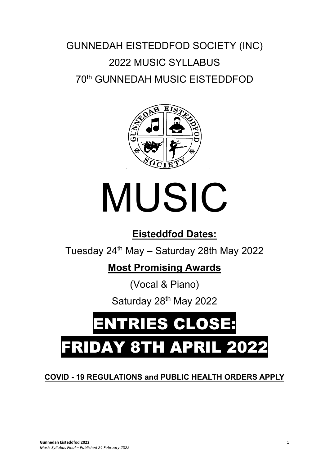# GUNNEDAH EISTEDDFOD SOCIETY (INC) 2022 MUSIC SYLLABUS 70th GUNNEDAH MUSIC EISTEDDFOD



# MUSIC

# **Eisteddfod Dates:**

Tuesday  $24<sup>th</sup>$  May – Saturday 28th May 2022

# **Most Promising Awards**

(Vocal & Piano)

Saturday 28<sup>th</sup> May 2022

# ENTRIES CLOSE: **FRIDAY 8TH APRIL 202**

# **COVID - 19 REGULATIONS and PUBLIC HEALTH ORDERS APPLY**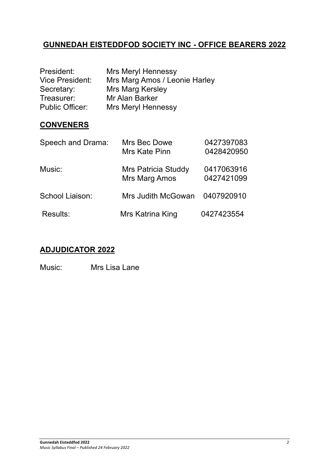# **GUNNEDAH EISTEDDFOD SOCIETY INC - OFFICE BEARERS 2022**

| President:             | <b>Mrs Meryl Hennessy</b>     |
|------------------------|-------------------------------|
| <b>Vice President:</b> | Mrs Marg Amos / Leonie Harley |
| Secretary:             | Mrs Marg Kersley              |
| Treasurer:             | Mr Alan Barker                |
| <b>Public Officer:</b> | <b>Mrs Meryl Hennessy</b>     |

# **CONVENERS**

| Speech and Drama: | Mrs Bec Dowe        | 0427397083 |
|-------------------|---------------------|------------|
|                   | Mrs Kate Pinn       | 0428420950 |
| Music:            | Mrs Patricia Studdy | 0417063916 |
|                   | Mrs Marg Amos       | 0427421099 |
| School Liaison:   | Mrs Judith McGowan  | 0407920910 |
| <b>Results:</b>   | Mrs Katrina King    | 0427423554 |

# **ADJUDICATOR 2022**

Music: Mrs Lisa Lane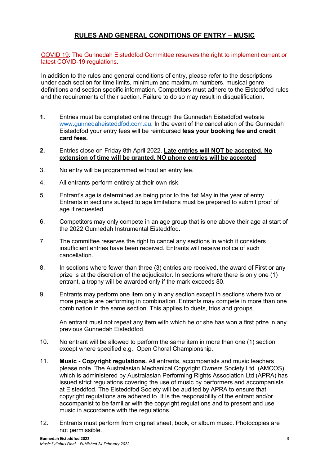#### **RULES AND GENERAL CONDITIONS OF ENTRY – MUSIC**

COVID 19: The Gunnedah Eisteddfod Committee reserves the right to implement current or latest COVID-19 regulations.

In addition to the rules and general conditions of entry, please refer to the descriptions under each section for time limits, minimum and maximum numbers, musical genre definitions and section specific information. Competitors must adhere to the Eisteddfod rules and the requirements of their section. Failure to do so may result in disqualification.

- **1.** Entries must be completed online through the Gunnedah Eisteddfod website www.gunnedaheisteddfod.com.au. In the event of the cancellation of the Gunnedah Eisteddfod your entry fees will be reimbursed **less your booking fee and credit card fees.**
- **2.** Entries close on Friday 8th April 2022. **Late entries will NOT be accepted. No extension of time will be granted. NO phone entries will be accepted**
- 3. No entry will be programmed without an entry fee.
- 4. All entrants perform entirely at their own risk.
- 5. Entrant's age is determined as being prior to the 1st May in the year of entry. Entrants in sections subject to age limitations must be prepared to submit proof of age if requested.
- 6. Competitors may only compete in an age group that is one above their age at start of the 2022 Gunnedah Instrumental Eisteddfod.
- 7. The committee reserves the right to cancel any sections in which it considers insufficient entries have been received. Entrants will receive notice of such cancellation.
- 8. In sections where fewer than three (3) entries are received, the award of First or any prize is at the discretion of the adjudicator. In sections where there is only one (1) entrant, a trophy will be awarded only if the mark exceeds 80.
- 9. Entrants may perform one item only in any section except in sections where two or more people are performing in combination. Entrants may compete in more than one combination in the same section. This applies to duets, trios and groups.

An entrant must not repeat any item with which he or she has won a first prize in any previous Gunnedah Eisteddfod.

- 10. No entrant will be allowed to perform the same item in more than one (1) section except where specified e.g., Open Choral Championship.
- 11. **Music - Copyright regulations.** All entrants, accompanists and music teachers please note. The Australasian Mechanical Copyright Owners Society Ltd. (AMCOS) which is administered by Australasian Performing Rights Association Ltd (APRA) has issued strict regulations covering the use of music by performers and accompanists at Eisteddfod. The Eisteddfod Society will be audited by APRA to ensure that copyright regulations are adhered to. It is the responsibility of the entrant and/or accompanist to be familiar with the copyright regulations and to present and use music in accordance with the regulations.
- 12. Entrants must perform from original sheet, book, or album music. Photocopies are not permissible.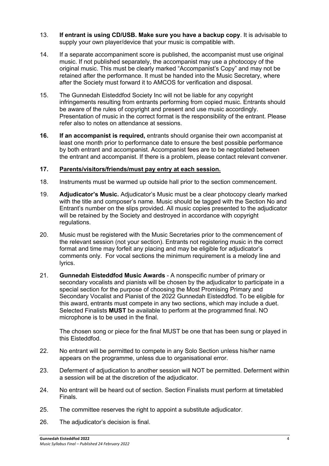- 13. **If entrant is using CD/USB. Make sure you have a backup copy**. It is advisable to supply your own player/device that your music is compatible with.
- 14. If a separate accompaniment score is published, the accompanist must use original music. If not published separately, the accompanist may use a photocopy of the original music. This must be clearly marked "Accompanist's Copy" and may not be retained after the performance. It must be handed into the Music Secretary, where after the Society must forward it to AMCOS for verification and disposal.
- 15. The Gunnedah Eisteddfod Society Inc will not be liable for any copyright infringements resulting from entrants performing from copied music. Entrants should be aware of the rules of copyright and present and use music accordingly. Presentation of music in the correct format is the responsibility of the entrant. Please refer also to notes on attendance at sessions.
- **16. If an accompanist is required,** entrants should organise their own accompanist at least one month prior to performance date to ensure the best possible performance by both entrant and accompanist. Accompanist fees are to be negotiated between the entrant and accompanist. If there is a problem, please contact relevant convener.

#### **17. Parents/visitors/friends/must pay entry at each session.**

- 18. Instruments must be warmed up outside hall prior to the section commencement.
- 19. **Adjudicator's Music.** Adjudicator's Music must be a clear photocopy clearly marked with the title and composer's name. Music should be tagged with the Section No and Entrant's number on the slips provided. All music copies presented to the adjudicator will be retained by the Society and destroyed in accordance with copyright regulations.
- 20. Music must be registered with the Music Secretaries prior to the commencement of the relevant session (not your section). Entrants not registering music in the correct format and time may forfeit any placing and may be eligible for adjudicator's comments only. For vocal sections the minimum requirement is a melody line and lyrics.
- 21. **Gunnedah Eisteddfod Music Awards**  A nonspecific number of primary or secondary vocalists and pianists will be chosen by the adjudicator to participate in a special section for the purpose of choosing the Most Promising Primary and Secondary Vocalist and Pianist of the 2022 Gunnedah Eisteddfod. To be eligible for this award, entrants must compete in any two sections, which may include a duet. Selected Finalists **MUST** be available to perform at the programmed final. NO microphone is to be used in the final.

The chosen song or piece for the final MUST be one that has been sung or played in this Eisteddfod.

- 22. No entrant will be permitted to compete in any Solo Section unless his/her name appears on the programme, unless due to organisational error.
- 23. Deferment of adjudication to another session will NOT be permitted. Deferment within a session will be at the discretion of the adjudicator.
- 24. No entrant will be heard out of section. Section Finalists must perform at timetabled Finals.
- 25. The committee reserves the right to appoint a substitute adjudicator.
- 26. The adjudicator's decision is final.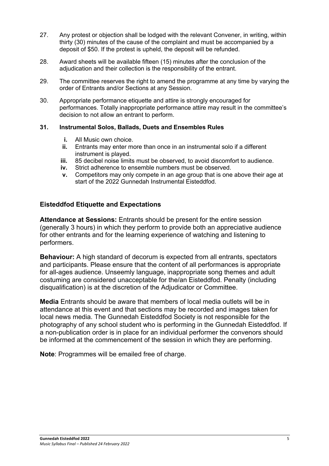- 27. Any protest or objection shall be lodged with the relevant Convener, in writing, within thirty (30) minutes of the cause of the complaint and must be accompanied by a deposit of \$50. If the protest is upheld, the deposit will be refunded.
- 28. Award sheets will be available fifteen (15) minutes after the conclusion of the adjudication and their collection is the responsibility of the entrant.
- 29. The committee reserves the right to amend the programme at any time by varying the order of Entrants and/or Sections at any Session.
- 30. Appropriate performance etiquette and attire is strongly encouraged for performances. Totally inappropriate performance attire may result in the committee's decision to not allow an entrant to perform.

#### **31. Instrumental Solos, Ballads, Duets and Ensembles Rules**

- **i.** All Music own choice
- **ii.** Entrants may enter more than once in an instrumental solo if a different instrument is played.
- **iii.** 85 decibel noise limits must be observed, to avoid discomfort to audience.
- **iv.** Strict adherence to ensemble numbers must be observed.
- **v.** Competitors may only compete in an age group that is one above their age at start of the 2022 Gunnedah Instrumental Eisteddfod.

#### **Eisteddfod Etiquette and Expectations**

**Attendance at Sessions:** Entrants should be present for the entire session (generally 3 hours) in which they perform to provide both an appreciative audience for other entrants and for the learning experience of watching and listening to performers.

**Behaviour:** A high standard of decorum is expected from all entrants, spectators and participants. Please ensure that the content of all performances is appropriate for all-ages audience. Unseemly language, inappropriate song themes and adult costuming are considered unacceptable for the/an Eisteddfod. Penalty (including disqualification) is at the discretion of the Adjudicator or Committee.

**Media** Entrants should be aware that members of local media outlets will be in attendance at this event and that sections may be recorded and images taken for local news media. The Gunnedah Eisteddfod Society is not responsible for the photography of any school student who is performing in the Gunnedah Eisteddfod. If a non-publication order is in place for an individual performer the convenors should be informed at the commencement of the session in which they are performing.

**Note:** Programmes will be emailed free of charge.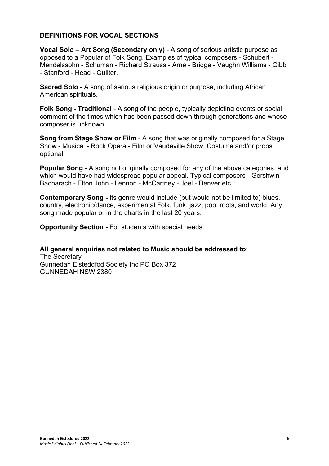#### **DEFINITIONS FOR VOCAL SECTIONS**

**Vocal Solo – Art Song (Secondary only)** - A song of serious artistic purpose as opposed to a Popular of Folk Song. Examples of typical composers - Schubert - Mendelssohn - Schuman - Richard Strauss - Arne - Bridge - Vaughn Williams - Gibb - Stanford - Head - Quilter.

**Sacred Solo** - A song of serious religious origin or purpose, including African American spirituals.

**Folk Song - Traditional** - A song of the people, typically depicting events or social comment of the times which has been passed down through generations and whose composer is unknown.

**Song from Stage Show or Film** - A song that was originally composed for a Stage Show - Musical - Rock Opera - Film or Vaudeville Show. Costume and/or props optional.

**Popular Song -** A song not originally composed for any of the above categories, and which would have had widespread popular appeal. Typical composers - Gershwin - Bacharach - Elton John - Lennon - McCartney - Joel - Denver etc.

**Contemporary Song -** Its genre would include (but would not be limited to) blues, country, electronic/dance, experimental Folk, funk, jazz, pop, roots, and world. Any song made popular or in the charts in the last 20 years.

**Opportunity Section -** For students with special needs.

**All general enquiries not related to Music should be addressed to**:

The Secretary Gunnedah Eisteddfod Society Inc PO Box 372 GUNNEDAH NSW 2380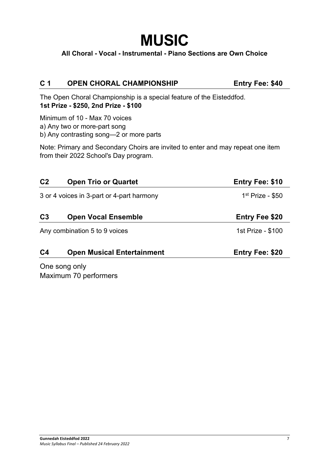# **MUSIC**

**All Choral - Vocal - Instrumental - Piano Sections are Own Choice**

# **C 1 OPEN CHORAL CHAMPIONSHIP Entry Fee: \$40**

The Open Choral Championship is a special feature of the Eisteddfod. **1st Prize - \$250, 2nd Prize - \$100** 

Minimum of 10 - Max 70 voices

a) Any two or more-part song

b) Any contrasting song—2 or more parts

Note: Primary and Secondary Choirs are invited to enter and may repeat one item from their 2022 School's Day program.

| C <sub>2</sub> | <b>Open Trio or Quartet</b>               | <b>Entry Fee: \$10</b> |
|----------------|-------------------------------------------|------------------------|
|                | 3 or 4 voices in 3-part or 4-part harmony | $1st$ Prize - \$50     |
| C <sub>3</sub> | <b>Open Vocal Ensemble</b>                | <b>Entry Fee \$20</b>  |
|                | Any combination 5 to 9 voices             | 1st Prize - \$100      |
| C <sub>4</sub> | <b>Open Musical Entertainment</b>         | <b>Entry Fee: \$20</b> |

One song only Maximum 70 performers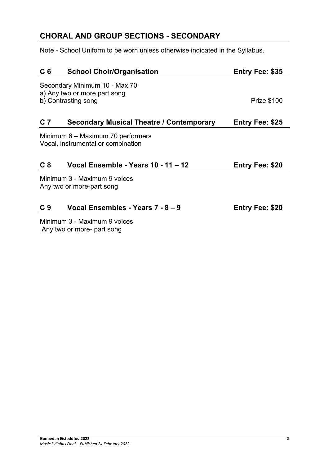# **CHORAL AND GROUP SECTIONS - SECONDARY**

Note - School Uniform to be worn unless otherwise indicated in the Syllabus.

| C <sub>6</sub> | <b>School Choir/Organisation</b>                                        | <b>Entry Fee: \$35</b> |
|----------------|-------------------------------------------------------------------------|------------------------|
|                | Secondary Minimum 10 - Max 70<br>a) Any two or more part song           |                        |
|                | b) Contrasting song                                                     | <b>Prize \$100</b>     |
| C <sub>7</sub> | <b>Secondary Musical Theatre / Contemporary</b>                         | <b>Entry Fee: \$25</b> |
|                | Minimum 6 - Maximum 70 performers<br>Vocal, instrumental or combination |                        |
| C <sub>8</sub> | Vocal Ensemble - Years 10 - 11 - 12                                     | <b>Entry Fee: \$20</b> |
|                | Minimum 3 - Maximum 9 voices<br>Any two or more-part song               |                        |
| C <sub>9</sub> | Vocal Ensembles - Years 7 - 8 - 9                                       | <b>Entry Fee: \$20</b> |
|                | $M_{\rm in}$                                                            |                        |

Minimum 3 - Maximum 9 voices Any two or more- part song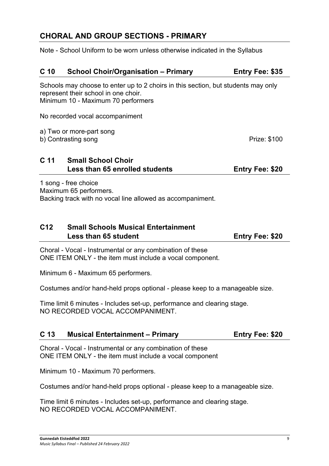# **CHORAL AND GROUP SECTIONS - PRIMARY**

Note - School Uniform to be worn unless otherwise indicated in the Syllabus

# **C 10 School Choir/Organisation – Primary Entry Fee: \$35**

Schools may choose to enter up to 2 choirs in this section, but students may only represent their school in one choir. Minimum 10 - Maximum 70 performers

No recorded vocal accompaniment

a) Two or more-part song

b) Contrasting song **Prize:** \$100

#### **C 11 Small School Choir Less than 65 enrolled students Entry Fee: \$20**

1 song - free choice Maximum 65 performers. Backing track with no vocal line allowed as accompaniment.

# **C12 Small Schools Musical Entertainment Less than 65 student Entry Fee: \$20**

Choral - Vocal - Instrumental or any combination of these ONE ITEM ONLY - the item must include a vocal component.

Minimum 6 - Maximum 65 performers.

Costumes and/or hand-held props optional - please keep to a manageable size.

Time limit 6 minutes - Includes set-up, performance and clearing stage. NO RECORDED VOCAL ACCOMPANIMENT.

#### **C 13 Musical Entertainment – Primary Entry Fee: \$20**

Choral - Vocal - Instrumental or any combination of these ONE ITEM ONLY - the item must include a vocal component

Minimum 10 - Maximum 70 performers.

Costumes and/or hand-held props optional - please keep to a manageable size.

Time limit 6 minutes - Includes set-up, performance and clearing stage. NO RECORDED VOCAL ACCOMPANIMENT.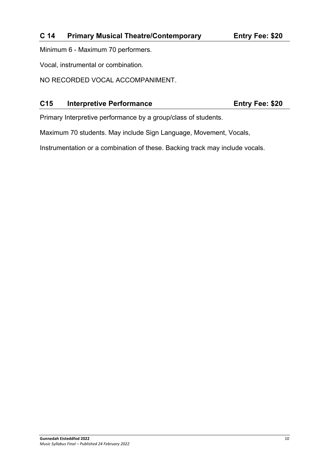Minimum 6 - Maximum 70 performers.

Vocal, instrumental or combination.

NO RECORDED VOCAL ACCOMPANIMENT.

## **C15 Interpretive Performance Entry Fee: \$20**

Primary Interpretive performance by a group/class of students.

Maximum 70 students. May include Sign Language, Movement, Vocals,

Instrumentation or a combination of these. Backing track may include vocals.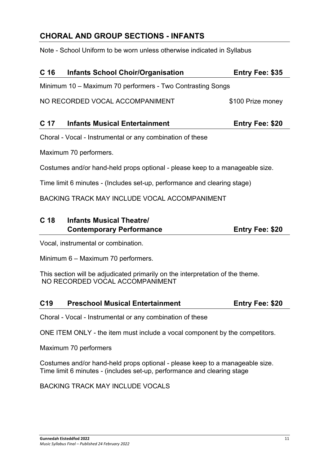# **CHORAL AND GROUP SECTIONS - INFANTS**

Note - School Uniform to be worn unless otherwise indicated in Syllabus

| C <sub>16</sub> | <b>Infants School Choir/Organisation</b>                   | <b>Entry Fee: \$35</b> |
|-----------------|------------------------------------------------------------|------------------------|
|                 | Minimum 10 - Maximum 70 performers - Two Contrasting Songs |                        |
|                 | NO RECORDED VOCAL ACCOMPANIMENT                            | \$100 Prize money      |

| C 17 | <b>Infants Musical Entertainment</b> | <b>Entry Fee: \$20</b> |
|------|--------------------------------------|------------------------|
|------|--------------------------------------|------------------------|

Choral - Vocal - Instrumental or any combination of these

Maximum 70 performers.

Costumes and/or hand-held props optional - please keep to a manageable size.

Time limit 6 minutes - (Includes set-up, performance and clearing stage)

BACKING TRACK MAY INCLUDE VOCAL ACCOMPANIMENT

# **C 18 Infants Musical Theatre/ Contemporary Performance <b>Entry Fee: \$20**

Vocal, instrumental or combination.

Minimum 6 – Maximum 70 performers.

This section will be adjudicated primarily on the interpretation of the theme. NO RECORDED VOCAL ACCOMPANIMENT

#### **C19 Preschool Musical Entertainment Entry Fee: \$20**

Choral - Vocal - Instrumental or any combination of these

ONE ITEM ONLY - the item must include a vocal component by the competitors.

Maximum 70 performers

Costumes and/or hand-held props optional - please keep to a manageable size. Time limit 6 minutes - (includes set-up, performance and clearing stage

BACKING TRACK MAY INCLUDE VOCALS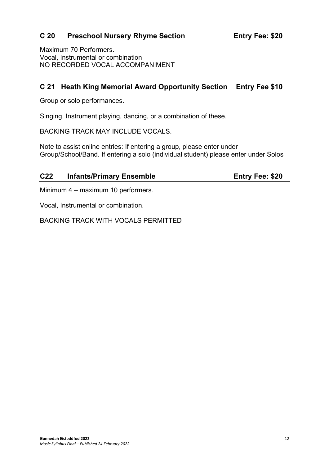# **C 20 Preschool Nursery Rhyme Section Entry Fee: \$20**

Maximum 70 Performers. Vocal, Instrumental or combination NO RECORDED VOCAL ACCOMPANIMENT

# **C 21 Heath King Memorial Award Opportunity Section Entry Fee \$10**

Group or solo performances.

Singing, Instrument playing, dancing, or a combination of these.

BACKING TRACK MAY INCLUDE VOCALS.

Note to assist online entries: If entering a group, please enter under Group/School/Band. If entering a solo (individual student) please enter under Solos

#### **C22 Infants/Primary Ensemble Entry Fee: \$20**

Minimum 4 – maximum 10 performers.

Vocal, Instrumental or combination.

BACKING TRACK WITH VOCALS PERMITTED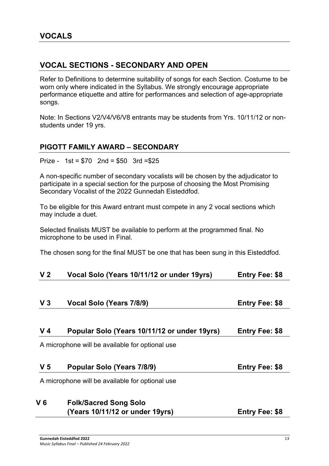# **VOCAL SECTIONS - SECONDARY AND OPEN**

Refer to Definitions to determine suitability of songs for each Section. Costume to be worn only where indicated in the Syllabus. We strongly encourage appropriate performance etiquette and attire for performances and selection of age-appropriate songs.

Note: In Sections V2/V4/V6/V8 entrants may be students from Yrs. 10/11/12 or nonstudents under 19 yrs.

## **PIGOTT FAMILY AWARD – SECONDARY**

Prize - 1st = \$70 2nd = \$50 3rd =\$25

A non-specific number of secondary vocalists will be chosen by the adjudicator to participate in a special section for the purpose of choosing the Most Promising Secondary Vocalist of the 2022 Gunnedah Eisteddfod.

To be eligible for this Award entrant must compete in any 2 vocal sections which may include a duet.

Selected finalists MUST be available to perform at the programmed final. No microphone to be used in Final.

The chosen song for the final MUST be one that has been sung in this Eisteddfod.

| V <sub>2</sub> |  |  | Vocal Solo (Years 10/11/12 or under 19yrs) | <b>Entry Fee: \$8</b> |
|----------------|--|--|--------------------------------------------|-----------------------|
|----------------|--|--|--------------------------------------------|-----------------------|

| V <sub>3</sub> | Vocal Solo (Years 7/8/9) | <b>Entry Fee: \$8</b> |
|----------------|--------------------------|-----------------------|
|----------------|--------------------------|-----------------------|

#### **V 4 Popular Solo (Years 10/11/12 or under 19yrs) Entry Fee: \$8**

A microphone will be available for optional use

| V <sub>5</sub> | Popular Solo (Years 7/8/9) | <b>Entry Fee: \$8</b> |
|----------------|----------------------------|-----------------------|
|----------------|----------------------------|-----------------------|

A microphone will be available for optional use

# **V 6 Folk/Sacred Song Solo (Years 10/11/12 or under 19yrs) Entry Fee: \$8**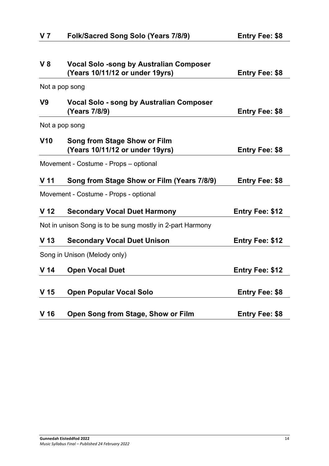| $V_8$           | <b>Vocal Solo -song by Australian Composer</b>            |                        |
|-----------------|-----------------------------------------------------------|------------------------|
|                 | (Years 10/11/12 or under 19yrs)                           | <b>Entry Fee: \$8</b>  |
|                 | Not a pop song                                            |                        |
| V <sub>9</sub>  | <b>Vocal Solo - song by Australian Composer</b>           |                        |
|                 | (Years 7/8/9)                                             | <b>Entry Fee: \$8</b>  |
|                 | Not a pop song                                            |                        |
| V10             | Song from Stage Show or Film                              |                        |
|                 | (Years 10/11/12 or under 19yrs)                           | <b>Entry Fee: \$8</b>  |
|                 | Movement - Costume - Props - optional                     |                        |
| V <sub>11</sub> | Song from Stage Show or Film (Years 7/8/9)                | <b>Entry Fee: \$8</b>  |
|                 | Movement - Costume - Props - optional                     |                        |
| V <sub>12</sub> | <b>Secondary Vocal Duet Harmony</b>                       | <b>Entry Fee: \$12</b> |
|                 | Not in unison Song is to be sung mostly in 2-part Harmony |                        |
| V <sub>13</sub> | <b>Secondary Vocal Duet Unison</b>                        | <b>Entry Fee: \$12</b> |
|                 | Song in Unison (Melody only)                              |                        |
| V <sub>14</sub> | <b>Open Vocal Duet</b>                                    | <b>Entry Fee: \$12</b> |
|                 |                                                           |                        |
| V <sub>15</sub> | <b>Open Popular Vocal Solo</b>                            | <b>Entry Fee: \$8</b>  |
|                 |                                                           |                        |
| V <sub>16</sub> | Open Song from Stage, Show or Film                        | <b>Entry Fee: \$8</b>  |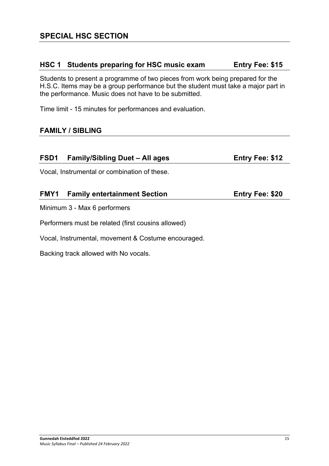## **HSC 1 Students preparing for HSC music exam Entry Fee: \$15**

Students to present a programme of two pieces from work being prepared for the H.S.C. Items may be a group performance but the student must take a major part in the performance. Music does not have to be submitted.

Time limit - 15 minutes for performances and evaluation.

# **FAMILY / SIBLING**

| FSD1                         | <b>Family/Sibling Duet - All ages</b>        | <b>Entry Fee: \$12</b> |
|------------------------------|----------------------------------------------|------------------------|
|                              | Vocal, Instrumental or combination of these. |                        |
| FMY1                         | <b>Family entertainment Section</b>          | <b>Entry Fee: \$20</b> |
| Minimum 3 - Max 6 performers |                                              |                        |

Performers must be related (first cousins allowed)

Vocal, Instrumental, movement & Costume encouraged.

Backing track allowed with No vocals.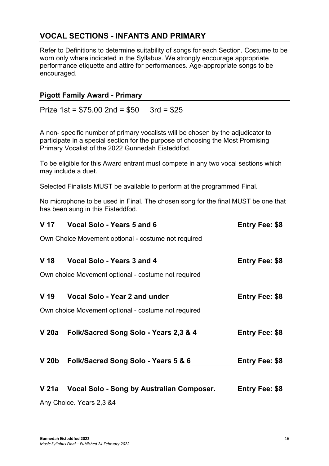# **VOCAL SECTIONS - INFANTS AND PRIMARY**

Refer to Definitions to determine suitability of songs for each Section. Costume to be worn only where indicated in the Syllabus. We strongly encourage appropriate performance etiquette and attire for performances. Age-appropriate songs to be encouraged.

#### **Pigott Family Award - Primary**

Prize 1st = \$75.00 2nd = \$50 3rd = \$25

A non- specific number of primary vocalists will be chosen by the adjudicator to participate in a special section for the purpose of choosing the Most Promising Primary Vocalist of the 2022 Gunnedah Eisteddfod.

To be eligible for this Award entrant must compete in any two vocal sections which may include a duet.

Selected Finalists MUST be available to perform at the programmed Final.

No microphone to be used in Final. The chosen song for the final MUST be one that has been sung in this Eisteddfod.

| V 17  | <b>Vocal Solo - Years 5 and 6</b>                   | <b>Entry Fee: \$8</b> |
|-------|-----------------------------------------------------|-----------------------|
|       | Own Choice Movement optional - costume not required |                       |
| V 18  | Vocal Solo - Years 3 and 4                          | <b>Entry Fee: \$8</b> |
|       | Own choice Movement optional - costume not required |                       |
| V 19  | Vocal Solo - Year 2 and under                       | <b>Entry Fee: \$8</b> |
|       | Own choice Movement optional - costume not required |                       |
| V 20a | Folk/Sacred Song Solo - Years 2,3 & 4               | <b>Entry Fee: \$8</b> |
| V 20b | Folk/Sacred Song Solo - Years 5 & 6                 | <b>Entry Fee: \$8</b> |
| V 21a | Vocal Solo - Song by Australian Composer.           | <b>Entry Fee: \$8</b> |
|       | Any Choice. Years 2,3 &4                            |                       |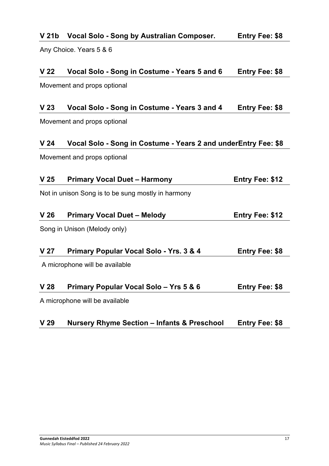| V 24   | Vocal Solo - Song in Costume - Years 2 and underEntry Fee: \$8                            |                        |
|--------|-------------------------------------------------------------------------------------------|------------------------|
|        | Movement and props optional                                                               |                        |
| V 25   | <b>Primary Vocal Duet - Harmony</b>                                                       | <b>Entry Fee: \$12</b> |
|        | Not in unison Song is to be sung mostly in harmony                                        |                        |
|        |                                                                                           |                        |
| V 26   | <b>Primary Vocal Duet - Melody</b>                                                        | <b>Entry Fee: \$12</b> |
|        | Song in Unison (Melody only)                                                              |                        |
|        |                                                                                           |                        |
| V 27   | <b>Primary Popular Vocal Solo - Yrs. 3 &amp; 4</b>                                        | <b>Entry Fee: \$8</b>  |
|        | A microphone will be available                                                            |                        |
| 17 O.O | $\ldots$ $\ldots$ $\ldots$ $\ldots$ $\ldots$ $\ldots$ $\ldots$ $\ldots$ $\ldots$ $\ldots$ | . <b>. Pro</b>         |

**V 22 Vocal Solo - Song in Costume - Years 5 and 6 Entry Fee: \$8**

**V 23 Vocal Solo - Song in Costume - Years 3 and 4 Entry Fee: \$8**

# **V 21b Vocal Solo - Song by Australian Composer. Entry Fee: \$8**

Any Choice. Years 5 & 6

Movement and props optional

Movement and props optional

| V <sub>26</sub> | <b>Primary Vocal Duet - Melody</b> | <b>Entry Fee: \$12</b> |
|-----------------|------------------------------------|------------------------|
|                 |                                    |                        |

| V <sub>28</sub> | <b>Primary Popular Vocal Solo - Yrs 5 &amp; 6</b> | <b>Entry Fee: \$8</b> |
|-----------------|---------------------------------------------------|-----------------------|
|-----------------|---------------------------------------------------|-----------------------|

A microphone will be available

| V <sub>29</sub> | <b>Nursery Rhyme Section – Infants &amp; Preschool</b> | <b>Entry Fee: \$8</b> |
|-----------------|--------------------------------------------------------|-----------------------|
|-----------------|--------------------------------------------------------|-----------------------|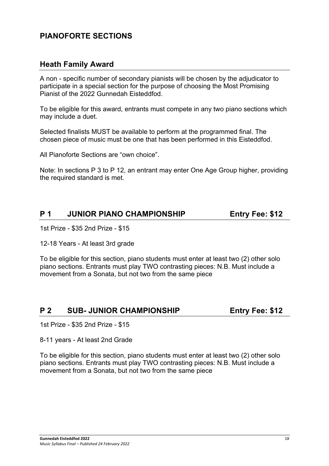# **PIANOFORTE SECTIONS**

# **Heath Family Award**

A non - specific number of secondary pianists will be chosen by the adjudicator to participate in a special section for the purpose of choosing the Most Promising Pianist of the 2022 Gunnedah Eisteddfod.

To be eligible for this award, entrants must compete in any two piano sections which may include a duet.

Selected finalists MUST be available to perform at the programmed final. The chosen piece of music must be one that has been performed in this Eisteddfod.

All Pianoforte Sections are "own choice".

Note: In sections P 3 to P 12, an entrant may enter One Age Group higher, providing the required standard is met.

# **P 1 JUNIOR PIANO CHAMPIONSHIP Entry Fee: \$12**

1st Prize - \$35 2nd Prize - \$15

12-18 Years - At least 3rd grade

To be eligible for this section, piano students must enter at least two (2) other solo piano sections. Entrants must play TWO contrasting pieces: N.B. Must include a movement from a Sonata, but not two from the same piece

# **P 2** SUB-JUNIOR CHAMPIONSHIP Entry Fee: \$12

1st Prize - \$35 2nd Prize - \$15

8-11 years - At least 2nd Grade

To be eligible for this section, piano students must enter at least two (2) other solo piano sections. Entrants must play TWO contrasting pieces: N.B. Must include a movement from a Sonata, but not two from the same piece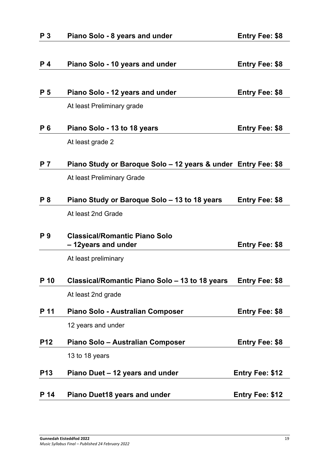| P <sub>3</sub> | Piano Solo - 8 years and under                                | <b>Entry Fee: \$8</b>  |
|----------------|---------------------------------------------------------------|------------------------|
|                |                                                               |                        |
| P <sub>4</sub> | Piano Solo - 10 years and under                               | <b>Entry Fee: \$8</b>  |
|                |                                                               |                        |
| P <sub>5</sub> | Piano Solo - 12 years and under                               | <b>Entry Fee: \$8</b>  |
|                | At least Preliminary grade                                    |                        |
| P 6            | Piano Solo - 13 to 18 years                                   | <b>Entry Fee: \$8</b>  |
|                | At least grade 2                                              |                        |
| <b>P</b> 7     | Piano Study or Baroque Solo - 12 years & under Entry Fee: \$8 |                        |
|                | At least Preliminary Grade                                    |                        |
| P 8            | Piano Study or Baroque Solo - 13 to 18 years                  | <b>Entry Fee: \$8</b>  |
|                | At least 2nd Grade                                            |                        |
| P 9            | <b>Classical/Romantic Piano Solo</b><br>- 12years and under   | <b>Entry Fee: \$8</b>  |
|                | At least preliminary                                          |                        |
| P 10           | Classical/Romantic Piano Solo – 13 to 18 years                | <b>Entry Fee: \$8</b>  |
|                | At least 2nd grade                                            |                        |
| P 11           | Piano Solo - Australian Composer                              | <b>Entry Fee: \$8</b>  |
|                | 12 years and under                                            |                        |
| <b>P12</b>     | Piano Solo - Australian Composer                              | <b>Entry Fee: \$8</b>  |
|                | 13 to 18 years                                                |                        |
| <b>P13</b>     | Piano Duet - 12 years and under                               | <b>Entry Fee: \$12</b> |
| P 14           | <b>Piano Duet18 years and under</b>                           | <b>Entry Fee: \$12</b> |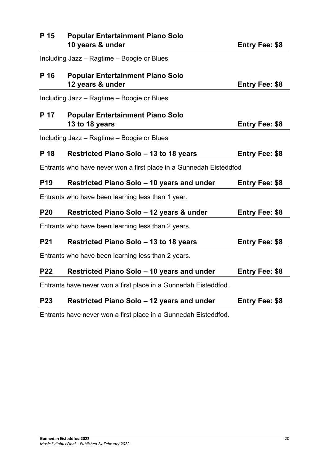| P 15       | <b>Popular Entertainment Piano Solo</b><br>10 years & under        | <b>Entry Fee: \$8</b> |
|------------|--------------------------------------------------------------------|-----------------------|
|            | Including Jazz - Ragtime - Boogie or Blues                         |                       |
| P 16       | <b>Popular Entertainment Piano Solo</b><br>12 years & under        | <b>Entry Fee: \$8</b> |
|            | Including Jazz - Ragtime - Boogie or Blues                         |                       |
| P 17       | <b>Popular Entertainment Piano Solo</b><br>13 to 18 years          | <b>Entry Fee: \$8</b> |
|            | Including Jazz - Ragtime - Boogie or Blues                         |                       |
| P 18       | <b>Restricted Piano Solo - 13 to 18 years</b>                      | <b>Entry Fee: \$8</b> |
|            | Entrants who have never won a first place in a Gunnedah Eisteddfod |                       |
| <b>P19</b> | Restricted Piano Solo - 10 years and under                         | <b>Entry Fee: \$8</b> |
|            | Entrants who have been learning less than 1 year.                  |                       |
| <b>P20</b> | Restricted Piano Solo - 12 years & under                           | <b>Entry Fee: \$8</b> |
|            | Entrants who have been learning less than 2 years.                 |                       |
| <b>P21</b> | <b>Restricted Piano Solo - 13 to 18 years</b>                      | <b>Entry Fee: \$8</b> |
|            | Entrants who have been learning less than 2 years.                 |                       |
| <b>P22</b> | Restricted Piano Solo - 10 years and under                         | <b>Entry Fee: \$8</b> |
|            | Entrants have never won a first place in a Gunnedah Eisteddfod.    |                       |
| <b>P23</b> | Restricted Piano Solo – 12 years and under                         | <b>Entry Fee: \$8</b> |

Entrants have never won a first place in a Gunnedah Eisteddfod.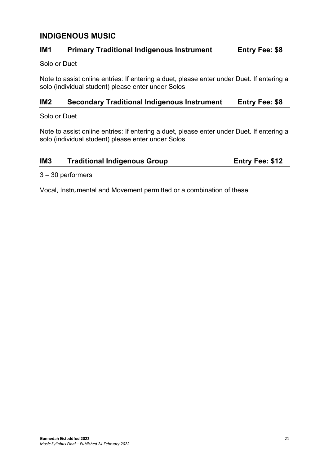# **INDIGENOUS MUSIC**

# **IM1 Primary Traditional Indigenous Instrument Entry Fee: \$8**

#### Solo or Duet

Note to assist online entries: If entering a duet, please enter under Duet. If entering a solo (individual student) please enter under Solos

#### **IM2 Secondary Traditional Indigenous Instrument Entry Fee: \$8**

Solo or Duet

Note to assist online entries: If entering a duet, please enter under Duet. If entering a solo (individual student) please enter under Solos

## **IM3 Traditional Indigenous Group <b>Entry Fee: \$12**

3 – 30 performers

Vocal, Instrumental and Movement permitted or a combination of these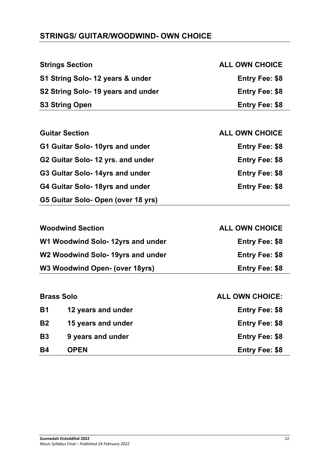# **STRINGS/ GUITAR/WOODWIND- OWN CHOICE**

|                                 | <b>Strings Section</b>             | <b>ALL OWN CHOICE</b>  |
|---------------------------------|------------------------------------|------------------------|
|                                 | S1 String Solo- 12 years & under   | <b>Entry Fee: \$8</b>  |
|                                 | S2 String Solo- 19 years and under | <b>Entry Fee: \$8</b>  |
|                                 | <b>S3 String Open</b>              | <b>Entry Fee: \$8</b>  |
|                                 |                                    |                        |
|                                 | <b>Guitar Section</b>              | <b>ALL OWN CHOICE</b>  |
|                                 | G1 Guitar Solo- 10yrs and under    | <b>Entry Fee: \$8</b>  |
|                                 | G2 Guitar Solo- 12 yrs. and under  | <b>Entry Fee: \$8</b>  |
|                                 | G3 Guitar Solo- 14yrs and under    | <b>Entry Fee: \$8</b>  |
| G4 Guitar Solo- 18yrs and under |                                    | <b>Entry Fee: \$8</b>  |
|                                 | G5 Guitar Solo- Open (over 18 yrs) |                        |
|                                 |                                    |                        |
|                                 | <b>Woodwind Section</b>            | <b>ALL OWN CHOICE</b>  |
|                                 | W1 Woodwind Solo-12yrs and under   | <b>Entry Fee: \$8</b>  |
|                                 | W2 Woodwind Solo- 19yrs and under  | <b>Entry Fee: \$8</b>  |
|                                 | W3 Woodwind Open- (over 18yrs)     | <b>Entry Fee: \$8</b>  |
|                                 |                                    |                        |
|                                 | <b>Brass Solo</b>                  | <b>ALL OWN CHOICE:</b> |
| <b>B1</b>                       | 12 years and under                 | <b>Entry Fee: \$8</b>  |
| <b>B2</b>                       | 15 years and under                 | <b>Entry Fee: \$8</b>  |
| <b>B3</b>                       | 9 years and under                  | <b>Entry Fee: \$8</b>  |
| <b>B4</b>                       | <b>OPEN</b>                        | <b>Entry Fee: \$8</b>  |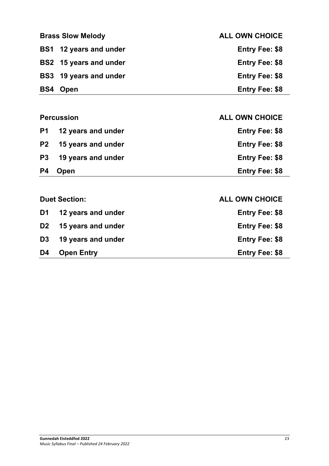| <b>Brass Slow Melody</b>      | <b>ALL OWN CHOICE</b> |
|-------------------------------|-----------------------|
| BS1 12 years and under        | <b>Entry Fee: \$8</b> |
| <b>BS2</b> 15 years and under | <b>Entry Fee: \$8</b> |
| <b>BS3</b> 19 years and under | <b>Entry Fee: \$8</b> |
| <b>BS4 Open</b>               | <b>Entry Fee: \$8</b> |

|                | <b>Percussion</b>  | <b>ALL OWN CHOICE</b> |
|----------------|--------------------|-----------------------|
| <b>P1</b>      | 12 years and under | <b>Entry Fee: \$8</b> |
| <b>P2</b>      | 15 years and under | <b>Entry Fee: \$8</b> |
| P <sub>3</sub> | 19 years and under | <b>Entry Fee: \$8</b> |
| P4             | Open               | <b>Entry Fee: \$8</b> |
|                |                    |                       |

|    | D <sub>2</sub> 15 years and under          | <b>Entry Fee: \$8</b>                          |
|----|--------------------------------------------|------------------------------------------------|
| D4 | D3 19 years and under<br><b>Open Entry</b> | <b>Entry Fee: \$8</b><br><b>Entry Fee: \$8</b> |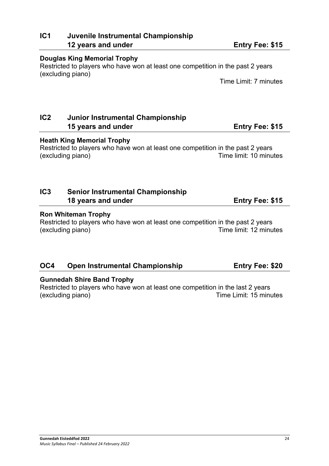# **IC1 Juvenile Instrumental Championship 12 years and under Entry Fee: \$15**

#### **Douglas King Memorial Trophy**

Restricted to players who have won at least one competition in the past 2 years (excluding piano)

Time Limit: 7 minutes

# **IC2 Junior Instrumental Championship 15 years and under Entry Fee: \$15**

#### **Heath King Memorial Trophy**

Restricted to players who have won at least one competition in the past 2 years (excluding piano) Time limit: 10 minutes

# **IC3 Senior Instrumental Championship 18 years and under Entry Fee: \$15**

#### **Ron Whiteman Trophy**

Restricted to players who have won at least one competition in the past 2 years (excluding piano) Time limit: 12 minutes

# **OC4 Open Instrumental Championship Entry Fee: \$20**

#### **Gunnedah Shire Band Trophy**

Restricted to players who have won at least one competition in the last 2 years (excluding piano) Time Limit: 15 minutes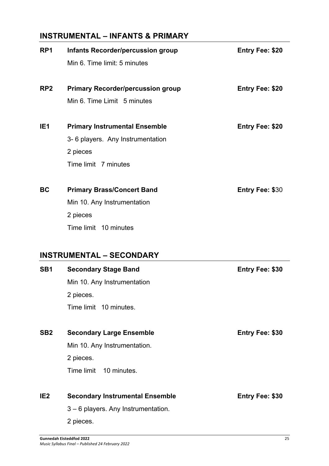# **INSTRUMENTAL – INFANTS & PRIMARY**

| RP <sub>1</sub> | <b>Infants Recorder/percussion group</b> | <b>Entry Fee: \$20</b> |
|-----------------|------------------------------------------|------------------------|
|                 | Min 6. Time limit: 5 minutes             |                        |
| RP <sub>2</sub> | <b>Primary Recorder/percussion group</b> | <b>Entry Fee: \$20</b> |
|                 | Min 6. Time Limit 5 minutes              |                        |
| IE <sub>1</sub> | <b>Primary Instrumental Ensemble</b>     | <b>Entry Fee: \$20</b> |
|                 | 3-6 players. Any Instrumentation         |                        |
|                 | 2 pieces                                 |                        |
|                 | Time limit 7 minutes                     |                        |
| <b>BC</b>       | <b>Primary Brass/Concert Band</b>        | <b>Entry Fee: \$30</b> |
|                 | Min 10. Any Instrumentation              |                        |
|                 | 2 pieces                                 |                        |
|                 | Time limit 10 minutes                    |                        |
|                 | <b>INSTRUMENTAL - SECONDARY</b>          |                        |
| SB <sub>1</sub> | <b>Secondary Stage Band</b>              | Entry Fee: \$30        |
|                 | Min 10. Any Instrumentation              |                        |
|                 | 2 pieces.                                |                        |
|                 | Time limit 10 minutes.                   |                        |
| SB <sub>2</sub> | <b>Secondary Large Ensemble</b>          | <b>Entry Fee: \$30</b> |
|                 | Min 10. Any Instrumentation.             |                        |
|                 | 2 pieces.                                |                        |
|                 | Time limit<br>10 minutes.                |                        |

# **IE2 Secondary Instrumental Ensemble Entry Fee: \$30**

3 – 6 players. Any Instrumentation.

2 pieces.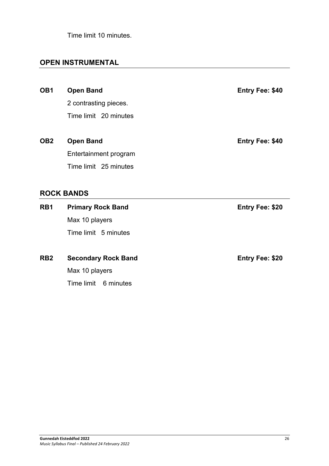Time limit 10 minutes.

# **OPEN INSTRUMENTAL**

**OB1 Open Band Entry Fee: \$40** 2 contrasting pieces. Time limit 20 minutes **OB2 Open Band Entry Fee: \$40** Entertainment program Time limit 25 minutes

## **ROCK BANDS**

| RB1 | <b>Primary Rock Band</b> | <b>Entry Fee: \$20</b> |
|-----|--------------------------|------------------------|
|     | Max 10 players           |                        |
|     | Time limit 5 minutes     |                        |
|     |                          |                        |

**RB2 Secondary Rock Band Entry Fee: \$20** Max 10 players Time limit 6 minutes